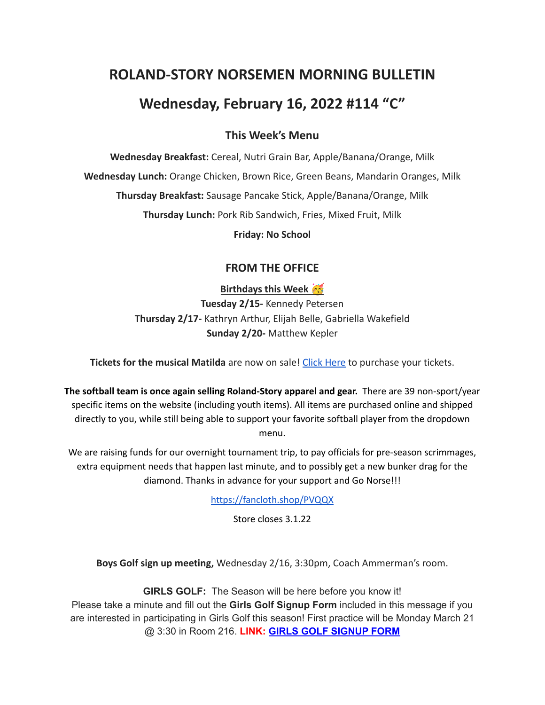# **ROLAND-STORY NORSEMEN MORNING BULLETIN**

# **Wednesday, February 16, 2022 #114 "C"**

# **This Week's Menu**

**Wednesday Breakfast:** Cereal, Nutri Grain Bar, Apple/Banana/Orange, Milk **Wednesday Lunch:** Orange Chicken, Brown Rice, Green Beans, Mandarin Oranges, Milk **Thursday Breakfast:** Sausage Pancake Stick, Apple/Banana/Orange, Milk **Thursday Lunch:** Pork Rib Sandwich, Fries, Mixed Fruit, Milk

**Friday: No School**

# **FROM THE OFFICE**

**Birthdays this Week Tuesday 2/15-** Kennedy Petersen **Thursday 2/17-** Kathryn Arthur, Elijah Belle, Gabriella Wakefield **Sunday 2/20-** Matthew Kepler

**Tickets for the musical Matilda** are now on sale! Click [Here](https://events.ticketspicket.com/agency/a61f75f7-997a-4241-b0ab-0eae5600323f) to purchase your tickets.

**The softball team is once again selling Roland-Story apparel and gear.** There are 39 non-sport/year specific items on the website (including youth items). All items are purchased online and shipped directly to you, while still being able to support your favorite softball player from the dropdown menu.

We are raising funds for our overnight tournament trip, to pay officials for pre-season scrimmages, extra equipment needs that happen last minute, and to possibly get a new bunker drag for the diamond. Thanks in advance for your support and Go Norse!!!

<https://fancloth.shop/PVQQX>

Store closes 3.1.22

**Boys Golf sign up meeting,** Wednesday 2/16, 3:30pm, Coach Ammerman's room.

**GIRLS GOLF:** The Season will be here before you know it! Please take a minute and fill out the **Girls Golf Signup Form** included in this message if you are interested in participating in Girls Golf this season! First practice will be Monday March 21 @ 3:30 in Room 216. **LINK: GIRLS GOLF [SIGNUP](https://forms.gle/UVm68USy2mkrWNuQ7) FORM**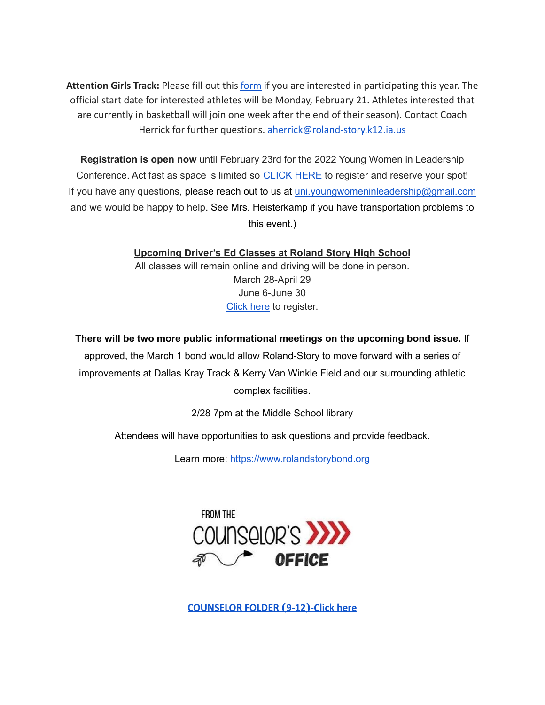**Attention Girls Track:** Please fill out this [form](https://forms.gle/DP81ofVAkQ73dqcBA) if you are interested in participating this year. The official start date for interested athletes will be Monday, February 21. Athletes interested that are currently in basketball will join one week after the end of their season). Contact Coach Herrick for further questions. aherrick@roland-story.k12.ia.us

**Registration is open now** until February 23rd for the 2022 Young Women in Leadership Conference. Act fast as space is limited so [CLICK](https://event.formdash.org/2022/ywil/) HERE to register and reserve your spot! If you have any questions, please reach out to us at uni.youngwomeninleadership@gmail.com and we would be happy to help. See Mrs. Heisterkamp if you have transportation problems to this event.)

> **Upcoming Driver's Ed Classes at Roland Story High School** All classes will remain online and driving will be done in person. March 28-April 29 June 6-June 30 [Click](http://streetsmartsdriversed.com/) here to register.

**There will be two more public informational meetings on the upcoming bond issue.** If approved, the March 1 bond would allow Roland-Story to move forward with a series of improvements at Dallas Kray Track & Kerry Van Winkle Field and our surrounding athletic complex facilities.

2/28 7pm at the Middle School library

Attendees will have opportunities to ask questions and provide feedback.

Learn more: [https://www.rolandstorybond.org](https://www.rolandstorybond.org/?fbclid=IwAR3AJHhy8S8KvQsof-Z44UTrIBXDkOZFSdMyUXMovrg0bH3FkvkTprNkFuM)



**[COUNSELOR FOLDER](https://docs.google.com/document/d/1vmwczNPbDzXe9vFaG5LJMQ7NYDv-i4oQJHybqA65TUc/edit?usp=sharing) (9-12)-Click here**